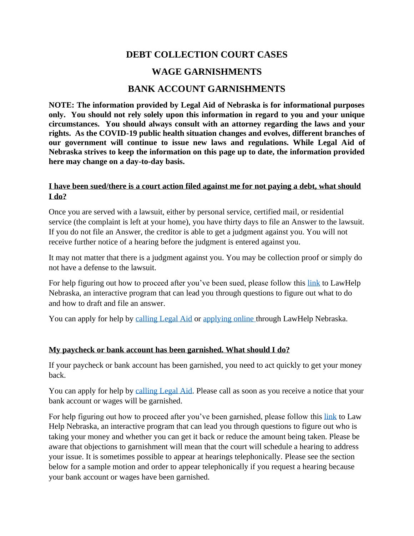# **DEBT COLLECTION COURT CASES WAGE GARNISHMENTS BANK ACCOUNT GARNISHMENTS**

**NOTE: The information provided by Legal Aid of Nebraska is for informational purposes only. You should not rely solely upon this information in regard to you and your unique circumstances. You should always consult with an attorney regarding the laws and your rights. As the COVID-19 public health situation changes and evolves, different branches of our government will continue to issue new laws and regulations. While Legal Aid of Nebraska strives to keep the information on this page up to date, the information provided here may change on a day-to-day basis.** 

#### **I have been sued/there is a court action filed against me for not paying a debt, what should I do?**

Once you are served with a lawsuit, either by personal service, certified mail, or residential service (the complaint is left at your home), you have thirty days to file an Answer to the lawsuit. If you do not file an Answer, the creditor is able to get a judgment against you. You will not receive further notice of a hearing before the judgment is entered against you.

It may not matter that there is a judgment against you. You may be collection proof or simply do not have a defense to the lawsuit.

For help figuring out how to proceed after you've been sued, please follow this [link](https://lawhelpne.legalaidofnebraska.org/) to LawHelp Nebraska, an interactive program that can lead you through questions to figure out what to do and how to draft and file an answer.

You can apply for help by [calling Legal Aid](https://www.legalaidofnebraska.org/how-we-help/call-for-help/) or [applying online t](https://lawhelpne.legalaidofnebraska.org/)hrough LawHelp Nebraska.

## **My paycheck or bank account has been garnished. What should I do?**

If your paycheck or bank account has been garnished, you need to act quickly to get your money back.

You can apply for help by [calling Legal Aid.](https://www.legalaidofnebraska.org/how-we-help/call-for-help/) Please call as soon as you receive a notice that your bank account or wages will be garnished.

For help figuring out how to proceed after you've been garnished, please follow this [link](https://lawhelpne.legalaidofnebraska.org/) to Law Help Nebraska, an interactive program that can lead you through questions to figure out who is taking your money and whether you can get it back or reduce the amount being taken. Please be aware that objections to garnishment will mean that the court will schedule a hearing to address your issue. It is sometimes possible to appear at hearings telephonically. Please see the section below for a sample motion and order to appear telephonically if you request a hearing because your bank account or wages have been garnished.